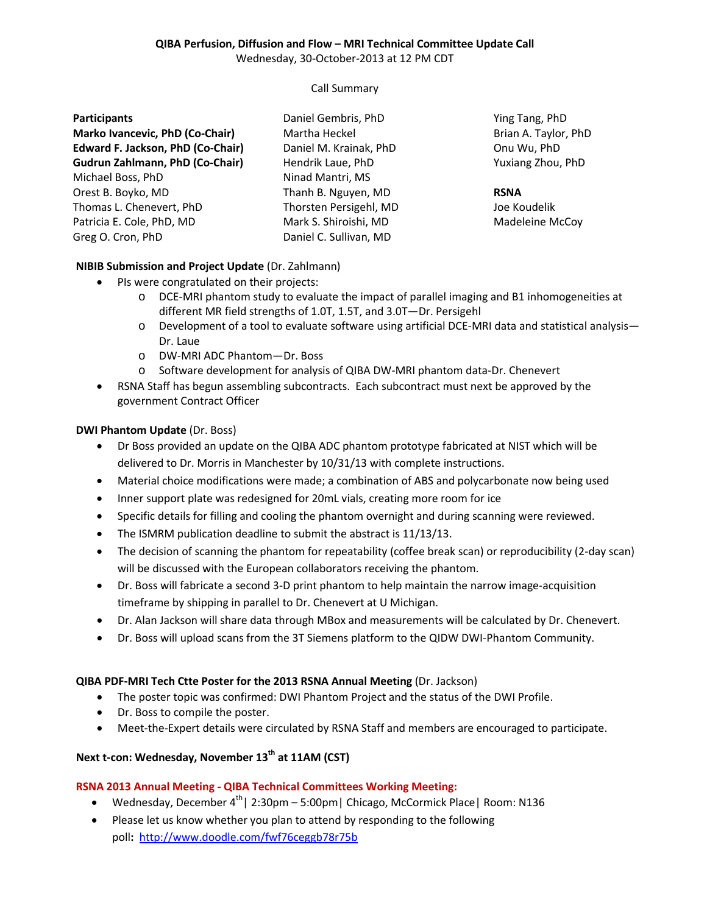# **QIBA Perfusion, Diffusion and Flow – MRI Technical Committee Update Call**

Wednesday, 30-October-2013 at 12 PM CDT

#### Call Summary

# **Participants Marko Ivancevic, PhD (Co-Chair) Edward F. Jackson, PhD (Co-Chair) Gudrun Zahlmann, PhD (Co-Chair)** Michael Boss, PhD Orest B. Boyko, MD Thomas L. Chenevert, PhD Patricia E. Cole, PhD, MD Greg O. Cron, PhD

Daniel Gembris, PhD Martha Heckel Daniel M. Krainak, PhD Hendrik Laue, PhD Ninad Mantri, MS Thanh B. Nguyen, MD Thorsten Persigehl, MD Mark S. Shiroishi, MD Daniel C. Sullivan, MD

Ying Tang, PhD Brian A. Taylor, PhD Onu Wu, PhD Yuxiang Zhou, PhD

**RSNA**

Joe Koudelik Madeleine McCoy

## **NIBIB Submission and Project Update** (Dr. Zahlmann)

- PIs were congratulated on their projects:
	- o DCE-MRI phantom study to evaluate the impact of parallel imaging and B1 inhomogeneities at different MR field strengths of 1.0T, 1.5T, and 3.0T—Dr. Persigehl
	- o Development of a tool to evaluate software using artificial DCE-MRI data and statistical analysis— Dr. Laue
	- o DW-MRI ADC Phantom—Dr. Boss
	- o Software development for analysis of QIBA DW-MRI phantom data-Dr. Chenevert
- RSNA Staff has begun assembling subcontracts. Each subcontract must next be approved by the government Contract Officer

## **DWI Phantom Update** (Dr. Boss)

- Dr Boss provided an update on the QIBA ADC phantom prototype fabricated at NIST which will be delivered to Dr. Morris in Manchester by 10/31/13 with complete instructions.
- Material choice modifications were made; a combination of ABS and polycarbonate now being used
- Inner support plate was redesigned for 20mL vials, creating more room for ice
- Specific details for filling and cooling the phantom overnight and during scanning were reviewed.
- The ISMRM publication deadline to submit the abstract is 11/13/13.
- The decision of scanning the phantom for repeatability (coffee break scan) or reproducibility (2-day scan) will be discussed with the European collaborators receiving the phantom.
- Dr. Boss will fabricate a second 3-D print phantom to help maintain the narrow image-acquisition timeframe by shipping in parallel to Dr. Chenevert at U Michigan.
- Dr. Alan Jackson will share data through MBox and measurements will be calculated by Dr. Chenevert.
- Dr. Boss will upload scans from the 3T Siemens platform to the QIDW DWI-Phantom Community.

# **QIBA PDF-MRI Tech Ctte Poster for the 2013 RSNA Annual Meeting** (Dr. Jackson)

- The poster topic was confirmed: DWI Phantom Project and the status of the DWI Profile.
- Dr. Boss to compile the poster.
- Meet-the-Expert details were circulated by RSNA Staff and members are encouraged to participate.

# **Next t-con: Wednesday, November 13th at 11AM (CST)**

# **RSNA 2013 Annual Meeting - QIBA Technical Committees Working Meeting:**

- Wednesday, December  $4^{th}$ | 2:30pm 5:00pm | Chicago, McCormick Place | Room: N136
- Please let us know whether you plan to attend by responding to the following poll**:** <http://www.doodle.com/fwf76ceggb78r75b>